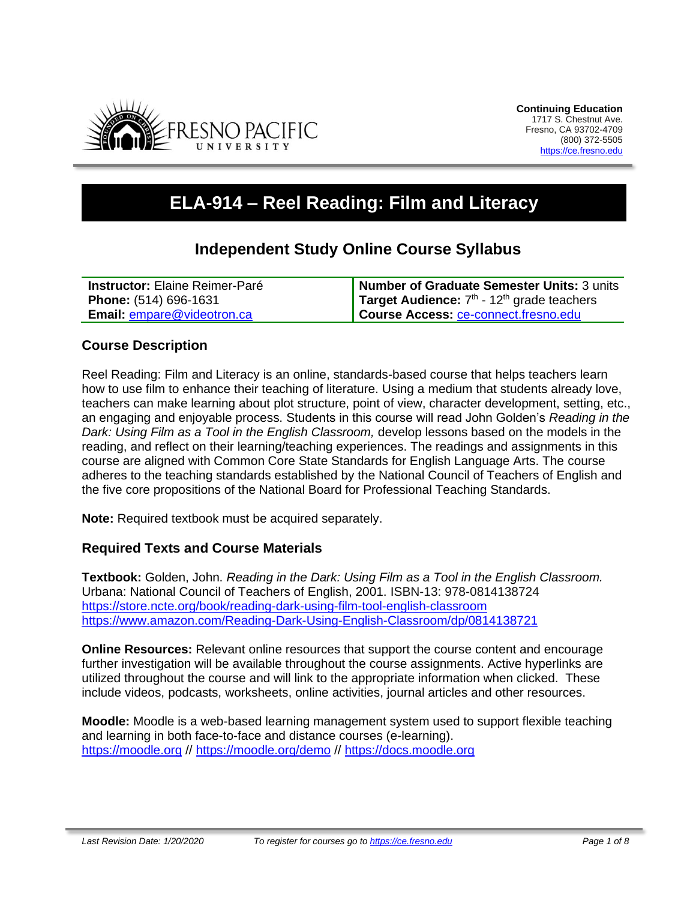

# **ELA-914 – Reel Reading: Film and Literacy**

# **Independent Study Online Course Syllabus**

| Instructor: Elaine Reimer-Paré    | Number of Graduate Semester Units: 3 units               |
|-----------------------------------|----------------------------------------------------------|
| Phone: (514) 696-1631             | Target Audience: $7th$ - 12 <sup>th</sup> grade teachers |
| <b>Email: empare@videotron.ca</b> | Course Access: ce-connect.fresno.edu                     |

### **Course Description**

Reel Reading: Film and Literacy is an online, standards-based course that helps teachers learn how to use film to enhance their teaching of literature. Using a medium that students already love, teachers can make learning about plot structure, point of view, character development, setting, etc., an engaging and enjoyable process. Students in this course will read John Golden's *Reading in the Dark: Using Film as a Tool in the English Classroom,* develop lessons based on the models in the reading, and reflect on their learning/teaching experiences. The readings and assignments in this course are aligned with Common Core State Standards for English Language Arts. The course adheres to the teaching standards established by the National Council of Teachers of English and the five core propositions of the National Board for Professional Teaching Standards.

**Note:** Required textbook must be acquired separately.

#### **Required Texts and Course Materials**

**Textbook:** Golden, John. *Reading in the Dark: Using Film as a Tool in the English Classroom.* Urbana: National Council of Teachers of English, 2001. ISBN-13: 978-0814138724 <https://store.ncte.org/book/reading-dark-using-film-tool-english-classroom> <https://www.amazon.com/Reading-Dark-Using-English-Classroom/dp/0814138721>

**Online Resources:** Relevant online resources that support the course content and encourage further investigation will be available throughout the course assignments. Active hyperlinks are utilized throughout the course and will link to the appropriate information when clicked. These include videos, podcasts, worksheets, online activities, journal articles and other resources.

**Moodle:** Moodle is a web-based learning management system used to support flexible teaching and learning in both face-to-face and distance courses (e-learning). [https://moodle.org](https://moodle.org/) // <https://moodle.org/demo> // [https://docs.moodle.org](https://docs.moodle.org/)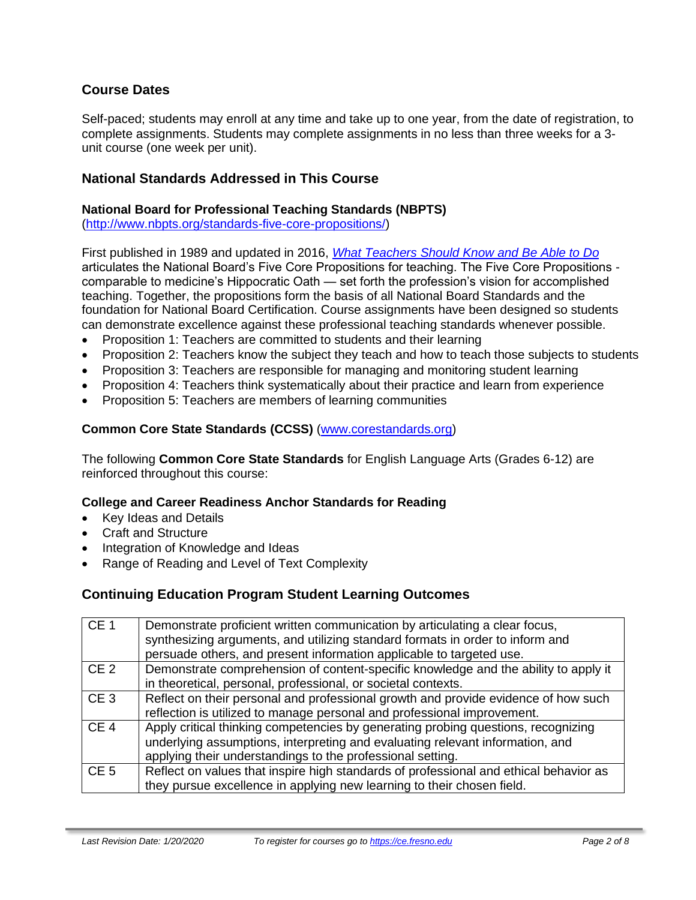# **Course Dates**

Self-paced; students may enroll at any time and take up to one year, from the date of registration, to complete assignments. Students may complete assignments in no less than three weeks for a 3 unit course (one week per unit).

### **National Standards Addressed in This Course**

#### **National Board for Professional Teaching Standards (NBPTS)**

[\(http://www.nbpts.org/standards-five-core-propositions/\)](http://www.nbpts.org/standards-five-core-propositions/)

First published in 1989 and updated in 2016, *[What Teachers Should Know and Be Able to Do](http://www.accomplishedteacher.org/)* articulates the National Board's Five Core Propositions for teaching. The Five Core Propositions comparable to medicine's Hippocratic Oath — set forth the profession's vision for accomplished teaching. Together, the propositions form the basis of all National Board Standards and the foundation for National Board Certification. Course assignments have been designed so students can demonstrate excellence against these professional teaching standards whenever possible.

- Proposition 1: Teachers are committed to students and their learning
- Proposition 2: Teachers know the subject they teach and how to teach those subjects to students
- Proposition 3: Teachers are responsible for managing and monitoring student learning
- Proposition 4: Teachers think systematically about their practice and learn from experience
- Proposition 5: Teachers are members of learning communities

#### **Common Core State Standards (CCSS)** [\(www.corestandards.org\)](http://www.corestandards.org/)

The following **Common Core State Standards** for English Language Arts (Grades 6-12) are reinforced throughout this course:

#### **College and Career Readiness Anchor Standards for Reading**

- Key Ideas and Details
- Craft and Structure
- Integration of Knowledge and Ideas
- Range of Reading and Level of Text Complexity

# **Continuing Education Program Student Learning Outcomes**

| CE <sub>1</sub> | Demonstrate proficient written communication by articulating a clear focus,<br>synthesizing arguments, and utilizing standard formats in order to inform and<br>persuade others, and present information applicable to targeted use. |
|-----------------|--------------------------------------------------------------------------------------------------------------------------------------------------------------------------------------------------------------------------------------|
| CE <sub>2</sub> | Demonstrate comprehension of content-specific knowledge and the ability to apply it<br>in theoretical, personal, professional, or societal contexts.                                                                                 |
| CE <sub>3</sub> | Reflect on their personal and professional growth and provide evidence of how such<br>reflection is utilized to manage personal and professional improvement.                                                                        |
| CE <sub>4</sub> | Apply critical thinking competencies by generating probing questions, recognizing<br>underlying assumptions, interpreting and evaluating relevant information, and<br>applying their understandings to the professional setting.     |
| CE <sub>5</sub> | Reflect on values that inspire high standards of professional and ethical behavior as<br>they pursue excellence in applying new learning to their chosen field.                                                                      |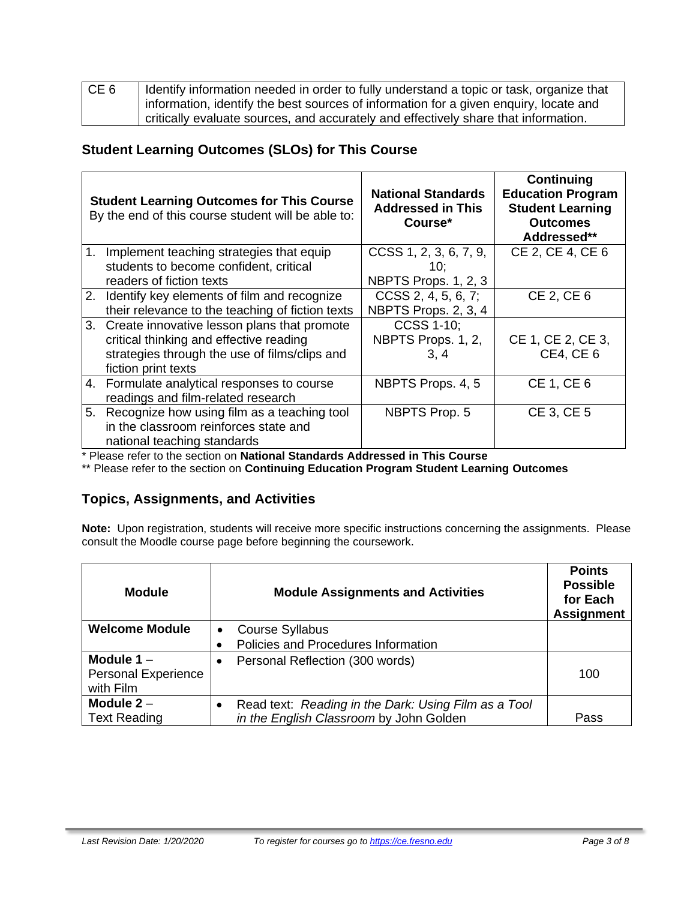| CE <sub>6</sub> | Identify information needed in order to fully understand a topic or task, organize that |
|-----------------|-----------------------------------------------------------------------------------------|
|                 | information, identify the best sources of information for a given enquiry, locate and   |
|                 | critically evaluate sources, and accurately and effectively share that information.     |

# **Student Learning Outcomes (SLOs) for This Course**

|                | <b>Student Learning Outcomes for This Course</b><br>By the end of this course student will be able to:                                                            | <b>National Standards</b><br><b>Addressed in This</b><br>Course* | <b>Continuing</b><br><b>Education Program</b><br><b>Student Learning</b><br><b>Outcomes</b><br>Addressed** |
|----------------|-------------------------------------------------------------------------------------------------------------------------------------------------------------------|------------------------------------------------------------------|------------------------------------------------------------------------------------------------------------|
| 1 <sub>1</sub> | Implement teaching strategies that equip<br>students to become confident, critical<br>readers of fiction texts                                                    | CCSS 1, 2, 3, 6, 7, 9,<br>10;<br>NBPTS Props. 1, 2, 3            | CE 2, CE 4, CE 6                                                                                           |
| 2.             | Identify key elements of film and recognize<br>their relevance to the teaching of fiction texts                                                                   | CCSS 2, 4, 5, 6, 7;<br>NBPTS Props. 2, 3, 4                      | CE 2, CE 6                                                                                                 |
|                | 3. Create innovative lesson plans that promote<br>critical thinking and effective reading<br>strategies through the use of films/clips and<br>fiction print texts | <b>CCSS 1-10;</b><br>NBPTS Props. 1, 2,<br>3.4                   | CE 1, CE 2, CE 3,<br><b>CE4, CE6</b>                                                                       |
|                | 4. Formulate analytical responses to course<br>readings and film-related research                                                                                 | NBPTS Props. 4, 5                                                | CE 1, CE 6                                                                                                 |
|                | 5. Recognize how using film as a teaching tool<br>in the classroom reinforces state and<br>national teaching standards                                            | <b>NBPTS Prop. 5</b>                                             | CE 3, CE 5                                                                                                 |

\* Please refer to the section on **National Standards Addressed in This Course**

\*\* Please refer to the section on **Continuing Education Program Student Learning Outcomes**

# **Topics, Assignments, and Activities**

**Note:** Upon registration, students will receive more specific instructions concerning the assignments. Please consult the Moodle course page before beginning the coursework.

| <b>Module</b>              | <b>Module Assignments and Activities</b>             | <b>Points</b><br><b>Possible</b><br>for Each<br><b>Assignment</b> |
|----------------------------|------------------------------------------------------|-------------------------------------------------------------------|
| <b>Welcome Module</b>      | <b>Course Syllabus</b><br>$\bullet$                  |                                                                   |
|                            | Policies and Procedures Information                  |                                                                   |
| Module $1 -$               | Personal Reflection (300 words)                      |                                                                   |
| <b>Personal Experience</b> |                                                      | 100                                                               |
| with Film                  |                                                      |                                                                   |
| Module $2 -$               | Read text: Reading in the Dark: Using Film as a Tool |                                                                   |
| <b>Text Reading</b>        | in the English Classroom by John Golden              | Pass                                                              |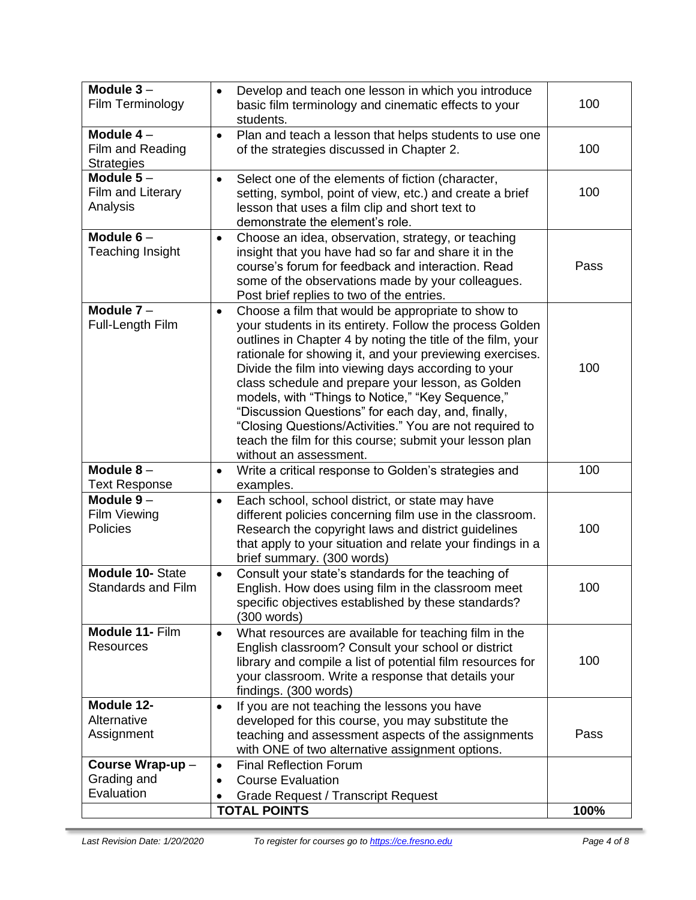| Module $3-$<br>Film Terminology                      | Develop and teach one lesson in which you introduce<br>basic film terminology and cinematic effects to your<br>students.                                                                                                                                                                                                                                                                                                                                                                                                                                                                                                     | 100  |
|------------------------------------------------------|------------------------------------------------------------------------------------------------------------------------------------------------------------------------------------------------------------------------------------------------------------------------------------------------------------------------------------------------------------------------------------------------------------------------------------------------------------------------------------------------------------------------------------------------------------------------------------------------------------------------------|------|
| Module $4-$<br>Film and Reading<br><b>Strategies</b> | Plan and teach a lesson that helps students to use one<br>$\bullet$<br>of the strategies discussed in Chapter 2.                                                                                                                                                                                                                                                                                                                                                                                                                                                                                                             | 100  |
| Module $5-$<br>Film and Literary<br>Analysis         | Select one of the elements of fiction (character,<br>$\bullet$<br>setting, symbol, point of view, etc.) and create a brief<br>lesson that uses a film clip and short text to<br>demonstrate the element's role.                                                                                                                                                                                                                                                                                                                                                                                                              | 100  |
| Module $6-$<br><b>Teaching Insight</b>               | Choose an idea, observation, strategy, or teaching<br>$\bullet$<br>insight that you have had so far and share it in the<br>course's forum for feedback and interaction. Read<br>some of the observations made by your colleagues.<br>Post brief replies to two of the entries.                                                                                                                                                                                                                                                                                                                                               | Pass |
| Module $7 -$<br>Full-Length Film                     | Choose a film that would be appropriate to show to<br>$\bullet$<br>your students in its entirety. Follow the process Golden<br>outlines in Chapter 4 by noting the title of the film, your<br>rationale for showing it, and your previewing exercises.<br>Divide the film into viewing days according to your<br>class schedule and prepare your lesson, as Golden<br>models, with "Things to Notice," "Key Sequence,"<br>"Discussion Questions" for each day, and, finally,<br>"Closing Questions/Activities." You are not required to<br>teach the film for this course; submit your lesson plan<br>without an assessment. | 100  |
| Module $8-$<br><b>Text Response</b>                  | Write a critical response to Golden's strategies and<br>$\bullet$<br>examples.                                                                                                                                                                                                                                                                                                                                                                                                                                                                                                                                               | 100  |
| Module $9-$<br><b>Film Viewing</b><br>Policies       | Each school, school district, or state may have<br>$\bullet$<br>different policies concerning film use in the classroom.<br>Research the copyright laws and district guidelines<br>that apply to your situation and relate your findings in a<br>brief summary. (300 words)                                                                                                                                                                                                                                                                                                                                                  | 100  |
| <b>Module 10- State</b><br><b>Standards and Film</b> | Consult your state's standards for the teaching of<br>$\bullet$<br>English. How does using film in the classroom meet<br>specific objectives established by these standards?<br>(300 words)                                                                                                                                                                                                                                                                                                                                                                                                                                  | 100  |
| Module 11- Film<br>Resources                         | What resources are available for teaching film in the<br>$\bullet$<br>English classroom? Consult your school or district<br>library and compile a list of potential film resources for<br>your classroom. Write a response that details your<br>findings. (300 words)                                                                                                                                                                                                                                                                                                                                                        | 100  |
| Module 12-<br>Alternative<br>Assignment              | If you are not teaching the lessons you have<br>$\bullet$<br>developed for this course, you may substitute the<br>teaching and assessment aspects of the assignments<br>with ONE of two alternative assignment options.                                                                                                                                                                                                                                                                                                                                                                                                      | Pass |
| Course Wrap-up-<br>Grading and<br>Evaluation         | <b>Final Reflection Forum</b><br>$\bullet$<br><b>Course Evaluation</b><br><b>Grade Request / Transcript Request</b><br><b>TOTAL POINTS</b>                                                                                                                                                                                                                                                                                                                                                                                                                                                                                   | 100% |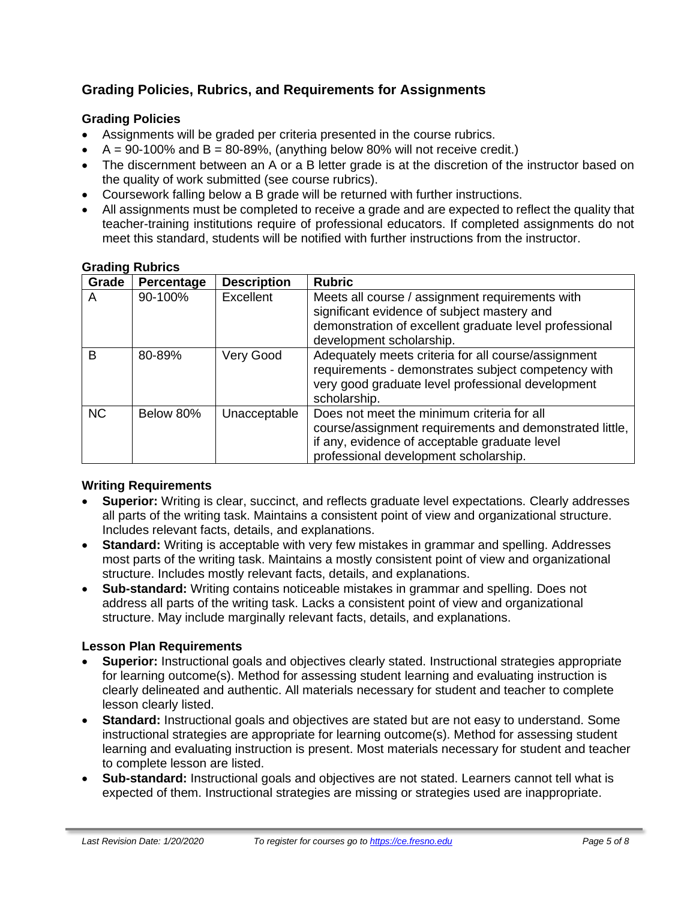# **Grading Policies, Rubrics, and Requirements for Assignments**

# **Grading Policies**

- Assignments will be graded per criteria presented in the course rubrics.
- $A = 90-100\%$  and  $B = 80-89\%$ , (anything below 80% will not receive credit.)
- The discernment between an A or a B letter grade is at the discretion of the instructor based on the quality of work submitted (see course rubrics).
- Coursework falling below a B grade will be returned with further instructions.
- All assignments must be completed to receive a grade and are expected to reflect the quality that teacher-training institutions require of professional educators. If completed assignments do not meet this standard, students will be notified with further instructions from the instructor.

| Grade        | Percentage | <b>Description</b> | <b>Rubric</b>                                                                                                                                                                                   |
|--------------|------------|--------------------|-------------------------------------------------------------------------------------------------------------------------------------------------------------------------------------------------|
| A            | 90-100%    | Excellent          | Meets all course / assignment requirements with<br>significant evidence of subject mastery and<br>demonstration of excellent graduate level professional<br>development scholarship.            |
| <sub>B</sub> | 80-89%     | Very Good          | Adequately meets criteria for all course/assignment<br>requirements - demonstrates subject competency with<br>very good graduate level professional development<br>scholarship.                 |
| <b>NC</b>    | Below 80%  | Unacceptable       | Does not meet the minimum criteria for all<br>course/assignment requirements and demonstrated little,<br>if any, evidence of acceptable graduate level<br>professional development scholarship. |

#### **Grading Rubrics**

#### **Writing Requirements**

- **Superior:** Writing is clear, succinct, and reflects graduate level expectations. Clearly addresses all parts of the writing task. Maintains a consistent point of view and organizational structure. Includes relevant facts, details, and explanations.
- **Standard:** Writing is acceptable with very few mistakes in grammar and spelling. Addresses most parts of the writing task. Maintains a mostly consistent point of view and organizational structure. Includes mostly relevant facts, details, and explanations.
- **Sub-standard:** Writing contains noticeable mistakes in grammar and spelling. Does not address all parts of the writing task. Lacks a consistent point of view and organizational structure. May include marginally relevant facts, details, and explanations.

#### **Lesson Plan Requirements**

- **Superior:** Instructional goals and objectives clearly stated. Instructional strategies appropriate for learning outcome(s). Method for assessing student learning and evaluating instruction is clearly delineated and authentic. All materials necessary for student and teacher to complete lesson clearly listed.
- **Standard:** Instructional goals and objectives are stated but are not easy to understand. Some instructional strategies are appropriate for learning outcome(s). Method for assessing student learning and evaluating instruction is present. Most materials necessary for student and teacher to complete lesson are listed.
- **Sub-standard:** Instructional goals and objectives are not stated. Learners cannot tell what is expected of them. Instructional strategies are missing or strategies used are inappropriate.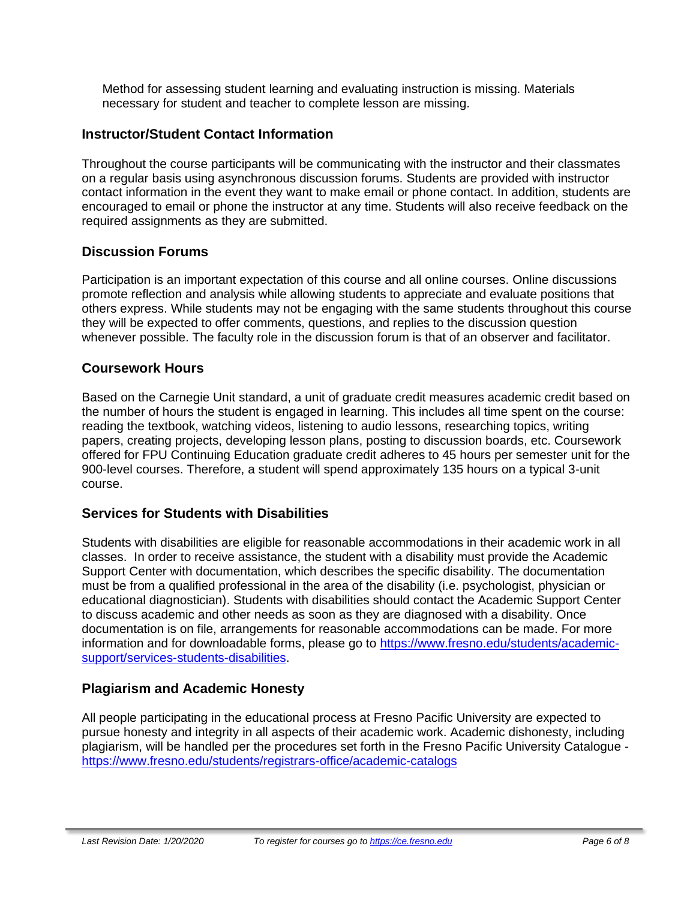Method for assessing student learning and evaluating instruction is missing. Materials necessary for student and teacher to complete lesson are missing.

# **Instructor/Student Contact Information**

Throughout the course participants will be communicating with the instructor and their classmates on a regular basis using asynchronous discussion forums. Students are provided with instructor contact information in the event they want to make email or phone contact. In addition, students are encouraged to email or phone the instructor at any time. Students will also receive feedback on the required assignments as they are submitted.

# **Discussion Forums**

Participation is an important expectation of this course and all online courses. Online discussions promote reflection and analysis while allowing students to appreciate and evaluate positions that others express. While students may not be engaging with the same students throughout this course they will be expected to offer comments, questions, and replies to the discussion question whenever possible. The faculty role in the discussion forum is that of an observer and facilitator.

# **Coursework Hours**

Based on the Carnegie Unit standard, a unit of graduate credit measures academic credit based on the number of hours the student is engaged in learning. This includes all time spent on the course: reading the textbook, watching videos, listening to audio lessons, researching topics, writing papers, creating projects, developing lesson plans, posting to discussion boards, etc. Coursework offered for FPU Continuing Education graduate credit adheres to 45 hours per semester unit for the 900-level courses. Therefore, a student will spend approximately 135 hours on a typical 3-unit course.

# **Services for Students with Disabilities**

Students with disabilities are eligible for reasonable accommodations in their academic work in all classes. In order to receive assistance, the student with a disability must provide the Academic Support Center with documentation, which describes the specific disability. The documentation must be from a qualified professional in the area of the disability (i.e. psychologist, physician or educational diagnostician). Students with disabilities should contact the Academic Support Center to discuss academic and other needs as soon as they are diagnosed with a disability. Once documentation is on file, arrangements for reasonable accommodations can be made. For more information and for downloadable forms, please go to [https://www.fresno.edu/students/academic](https://www.fresno.edu/students/academic-support/services-students-disabilities)[support/services-students-disabilities.](https://www.fresno.edu/students/academic-support/services-students-disabilities)

# **Plagiarism and Academic Honesty**

All people participating in the educational process at Fresno Pacific University are expected to pursue honesty and integrity in all aspects of their academic work. Academic dishonesty, including plagiarism, will be handled per the procedures set forth in the Fresno Pacific University Catalogue <https://www.fresno.edu/students/registrars-office/academic-catalogs>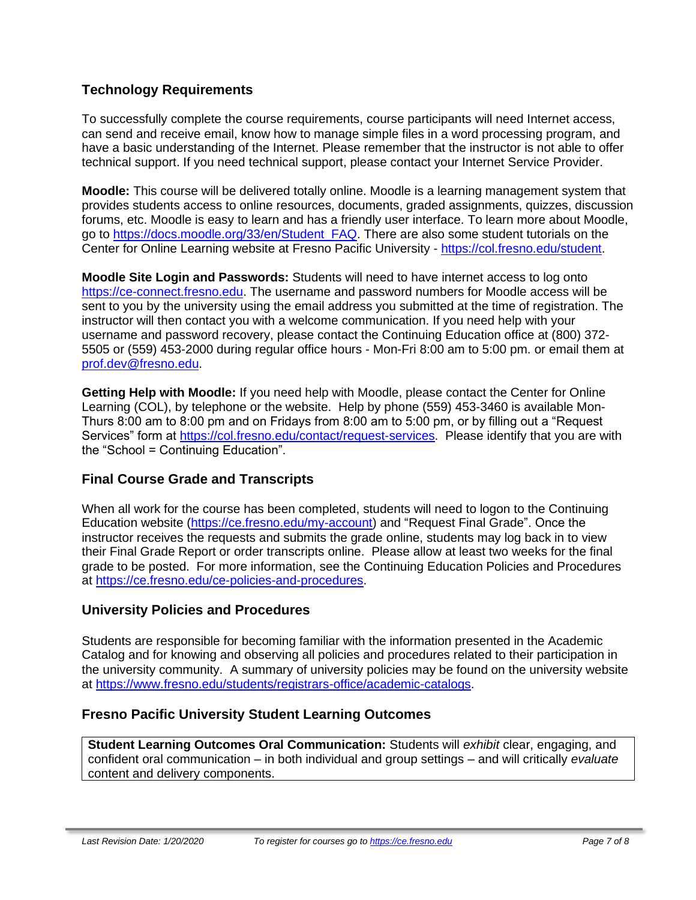# **Technology Requirements**

To successfully complete the course requirements, course participants will need Internet access, can send and receive email, know how to manage simple files in a word processing program, and have a basic understanding of the Internet. Please remember that the instructor is not able to offer technical support. If you need technical support, please contact your Internet Service Provider.

**Moodle:** This course will be delivered totally online. Moodle is a learning management system that provides students access to online resources, documents, graded assignments, quizzes, discussion forums, etc. Moodle is easy to learn and has a friendly user interface. To learn more about Moodle, go to [https://docs.moodle.org/33/en/Student\\_FAQ.](https://docs.moodle.org/33/en/Student_FAQ) There are also some student tutorials on the Center for Online Learning website at Fresno Pacific University - [https://col.fresno.edu/student.](https://col.fresno.edu/student)

**Moodle Site Login and Passwords:** Students will need to have internet access to log onto [https://ce-connect.fresno.edu.](https://ce-connect.fresno.edu/) The username and password numbers for Moodle access will be sent to you by the university using the email address you submitted at the time of registration. The instructor will then contact you with a welcome communication. If you need help with your username and password recovery, please contact the Continuing Education office at (800) 372- 5505 or (559) 453-2000 during regular office hours - Mon-Fri 8:00 am to 5:00 pm. or email them at [prof.dev@fresno.edu.](mailto:prof.dev@fresno.edu)

**Getting Help with Moodle:** If you need help with Moodle, please contact the Center for Online Learning (COL), by telephone or the website. Help by phone (559) 453-3460 is available Mon-Thurs 8:00 am to 8:00 pm and on Fridays from 8:00 am to 5:00 pm, or by filling out a "Request Services" form at [https://col.fresno.edu/contact/request-services.](https://col.fresno.edu/contact/request-services) Please identify that you are with the "School = Continuing Education".

# **Final Course Grade and Transcripts**

When all work for the course has been completed, students will need to logon to the Continuing Education website [\(https://ce.fresno.edu/my-account\)](https://ce.fresno.edu/my-account) and "Request Final Grade". Once the instructor receives the requests and submits the grade online, students may log back in to view their Final Grade Report or order transcripts online. Please allow at least two weeks for the final grade to be posted. For more information, see the Continuing Education Policies and Procedures at [https://ce.fresno.edu/ce-policies-and-procedures.](https://ce.fresno.edu/ce-policies-and-procedures)

# **University Policies and Procedures**

Students are responsible for becoming familiar with the information presented in the Academic Catalog and for knowing and observing all policies and procedures related to their participation in the university community. A summary of university policies may be found on the university website at [https://www.fresno.edu/students/registrars-office/academic-catalogs.](https://www.fresno.edu/students/registrars-office/academic-catalogs)

# **Fresno Pacific University Student Learning Outcomes**

**Student Learning Outcomes Oral Communication:** Students will *exhibit* clear, engaging, and confident oral communication – in both individual and group settings – and will critically *evaluate*  content and delivery components.